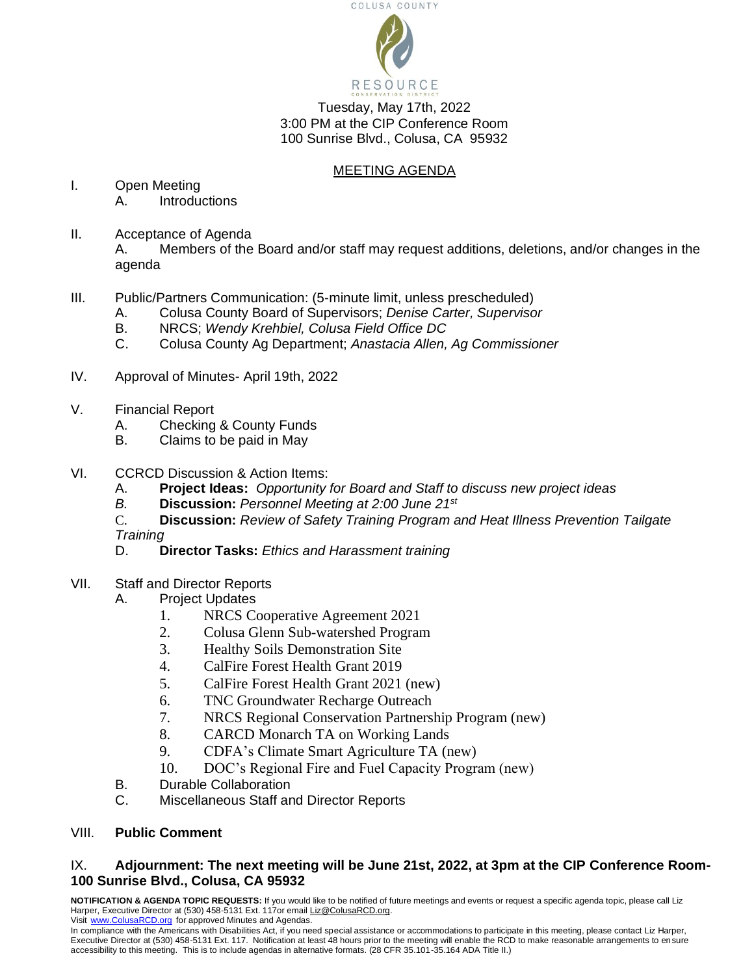

Tuesday, May 17th, 2022 3:00 PM at the CIP Conference Room 100 Sunrise Blvd., Colusa, CA 95932

## MEETING AGENDA

- I. Open Meeting A. Introductions
- II. Acceptance of Agenda A. Members of the Board and/or staff may request additions, deletions, and/or changes in the agenda
- III. Public/Partners Communication: (5-minute limit, unless prescheduled)
	- A. Colusa County Board of Supervisors; *Denise Carter, Supervisor*
	- B. NRCS; *Wendy Krehbiel, Colusa Field Office DC*
	- C. Colusa County Ag Department; *Anastacia Allen, Ag Commissioner*
- IV. Approval of Minutes- April 19th, 2022
- V. Financial Report
	- A. Checking & County Funds
	- B. Claims to be paid in May
- VI. CCRCD Discussion & Action Items:
	- A. **Project Ideas:** *Opportunity for Board and Staff to discuss new project ideas*
	- *B.* **Discussion:** *Personnel Meeting at 2:00 June 21st*
	- C. **Discussion:** *Review of Safety Training Program and Heat Illness Prevention Tailgate Training*
	- D. **Director Tasks:** *Ethics and Harassment training*
- VII. Staff and Director Reports
	- A. Project Updates
		- 1. NRCS Cooperative Agreement 2021
		- 2. Colusa Glenn Sub-watershed Program
		- 3. Healthy Soils Demonstration Site
		- 4. CalFire Forest Health Grant 2019
		- 5. CalFire Forest Health Grant 2021 (new)
		- 6. TNC Groundwater Recharge Outreach
		- 7. NRCS Regional Conservation Partnership Program (new)
		- 8. CARCD Monarch TA on Working Lands
		- 9. CDFA's Climate Smart Agriculture TA (new)
		- 10. DOC's Regional Fire and Fuel Capacity Program (new)
	- B. Durable Collaboration
	- C. Miscellaneous Staff and Director Reports

## VIII. **Public Comment**

## IX. **Adjournment: The next meeting will be June 21st, 2022, at 3pm at the CIP Conference Room-100 Sunrise Blvd., Colusa, CA 95932**

**NOTIFICATION & AGENDA TOPIC REQUESTS:** If you would like to be notified of future meetings and events or request a specific agenda topic, please call Liz Harper, Executive Director at (530) 458-5131 Ext. 117or email Liz@ColusaRCD.org. Visit [www.ColusaRCD.org](http://www.colusarcd.org/) [f](http://www.glenncountyrcd.org/)or approved Minutes and Agendas.

In compliance with the Americans with Disabilities Act, if you need special assistance or accommodations to participate in this meeting, please contact Liz Harper, Executive Director at (530) 458-5131 Ext. 117. Notification at least 48 hours prior to the meeting will enable the RCD to make reasonable arrangements to ensure accessibility to this meeting. This is to include agendas in alternative formats. (28 CFR 35.101-35.164 ADA Title II.)